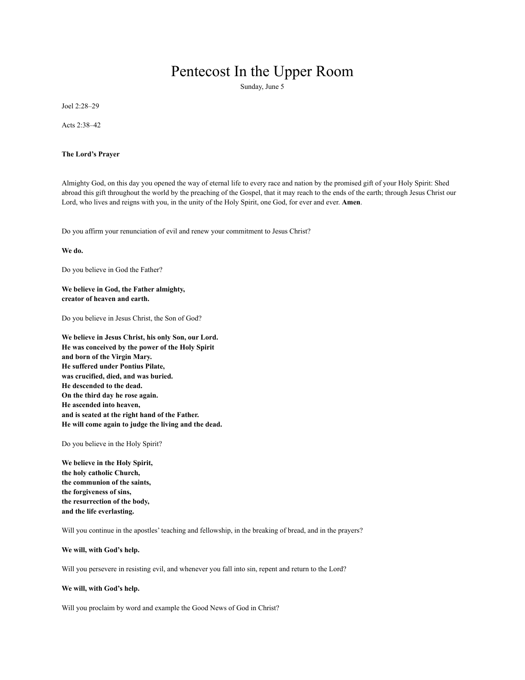# Pentecost In the Upper Room

Sunday, June 5

Joel 2:28–29

Acts 2:38–42

## **The Lord's Prayer**

Almighty God, on this day you opened the way of eternal life to every race and nation by the promised gift of your Holy Spirit: Shed abroad this gift throughout the world by the preaching of the Gospel, that it may reach to the ends of the earth; through Jesus Christ our Lord, who lives and reigns with you, in the unity of the Holy Spirit, one God, for ever and ever. **Amen**.

Do you affirm your renunciation of evil and renew your commitment to Jesus Christ?

**We do.**

Do you believe in God the Father?

# **We believe in God, the Father almighty, creator of heaven and earth.**

Do you believe in Jesus Christ, the Son of God?

**We believe in Jesus Christ, his only Son, our Lord. He was conceived by the power of the Holy Spirit and born of the Virgin Mary. He suffered under Pontius Pilate, was crucified, died, and was buried. He descended to the dead. On the third day he rose again. He ascended into heaven, and is seated at the right hand of the Father. He will come again to judge the living and the dead.**

Do you believe in the Holy Spirit?

**We believe in the Holy Spirit, the holy catholic Church, the communion of the saints, the forgiveness of sins, the resurrection of the body, and the life everlasting.**

Will you continue in the apostles' teaching and fellowship, in the breaking of bread, and in the prayers?

#### **We will, with God's help.**

Will you persevere in resisting evil, and whenever you fall into sin, repent and return to the Lord?

#### **We will, with God's help.**

Will you proclaim by word and example the Good News of God in Christ?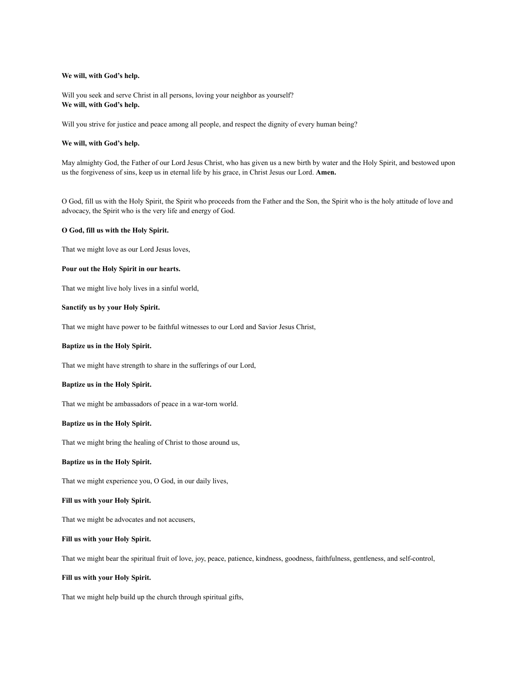# **We will, with God's help.**

Will you seek and serve Christ in all persons, loving your neighbor as yourself? **We will, with God's help.**

Will you strive for justice and peace among all people, and respect the dignity of every human being?

# **We will, with God's help.**

May almighty God, the Father of our Lord Jesus Christ, who has given us a new birth by water and the Holy Spirit, and bestowed upon us the forgiveness of sins, keep us in eternal life by his grace, in Christ Jesus our Lord. **Amen.**

O God, fill us with the Holy Spirit, the Spirit who proceeds from the Father and the Son, the Spirit who is the holy attitude of love and advocacy, the Spirit who is the very life and energy of God.

#### **O God, fill us with the Holy Spirit.**

That we might love as our Lord Jesus loves,

# **Pour out the Holy Spirit in our hearts.**

That we might live holy lives in a sinful world,

#### **Sanctify us by your Holy Spirit.**

That we might have power to be faithful witnesses to our Lord and Savior Jesus Christ,

#### **Baptize us in the Holy Spirit.**

That we might have strength to share in the sufferings of our Lord,

#### **Baptize us in the Holy Spirit.**

That we might be ambassadors of peace in a war-torn world.

#### **Baptize us in the Holy Spirit.**

That we might bring the healing of Christ to those around us,

# **Baptize us in the Holy Spirit.**

That we might experience you, O God, in our daily lives,

## **Fill us with your Holy Spirit.**

That we might be advocates and not accusers,

#### **Fill us with your Holy Spirit.**

That we might bear the spiritual fruit of love, joy, peace, patience, kindness, goodness, faithfulness, gentleness, and self-control,

#### **Fill us with your Holy Spirit.**

That we might help build up the church through spiritual gifts,